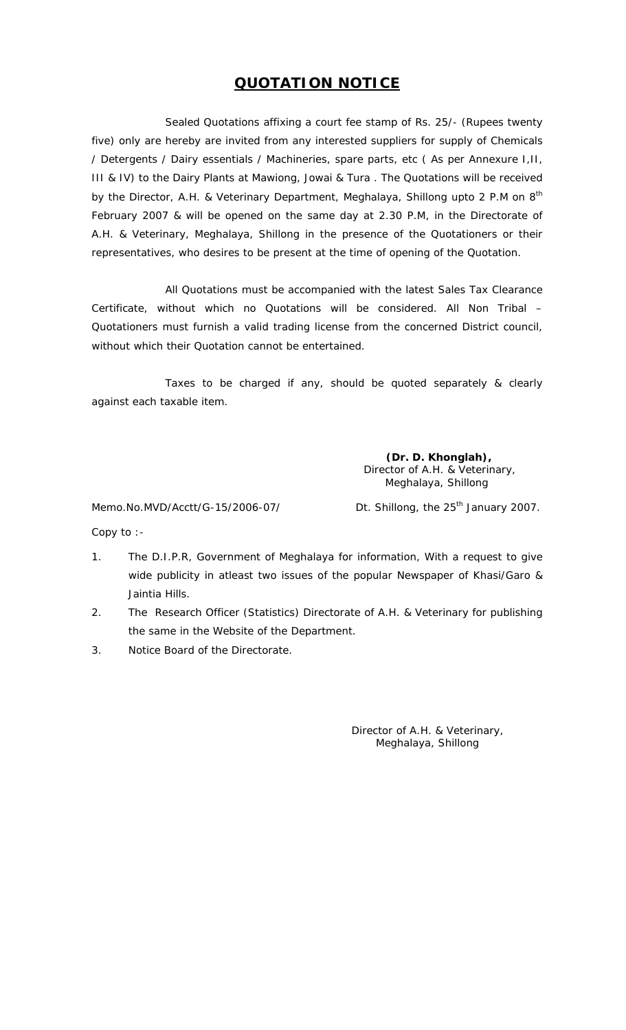## **QUOTATION NOTICE**

Sealed Quotations affixing a court fee stamp of Rs. 25/- (Rupees twenty five) only are hereby are invited from any interested suppliers for supply of Chemicals / Detergents / Dairy essentials / Machineries, spare parts, etc ( As per Annexure I,II, III & IV) to the Dairy Plants at Mawiong, Jowai & Tura . The Quotations will be received by the Director, A.H. & Veterinary Department, Meghalaya, Shillong upto 2 P.M on 8<sup>th</sup> February 2007 & will be opened on the same day at 2.30 P.M, in the Directorate of A.H. & Veterinary, Meghalaya, Shillong in the presence of the Quotationers or their representatives, who desires to be present at the time of opening of the Quotation.

 Certificate, without which no Quotations will be considered. All Non Tribal – All Quotations must be accompanied with the latest Sales Tax Clearance Quotationers must furnish a valid trading license from the concerned District council, without which their Quotation cannot be entertained.

Taxes to be charged if any, should be quoted separately & clearly against each taxable item.

> **(Dr. D. Khonglah),**  Director of A.H. & Veterinary, Meghalaya, Shillong

Memo.No.MVD/Acctt/G-15/2006-07/ Dt. Shillong, the 25<sup>th</sup> January 2007.

Copy to :

- 1. The D.I.P.R, Government of Meghalaya for information, With a request to give wide publicity in atleast two issues of the popular Newspaper of Khasi/Garo & Jaintia Hills.
- 2. The Research Officer (Statistics) Directorate of A.H. & Veterinary for publishing the same in the Website of the Department.
- 3. Notice Board of the Directorate.

Director of A.H. & Veterinary, Meghalaya, Shillong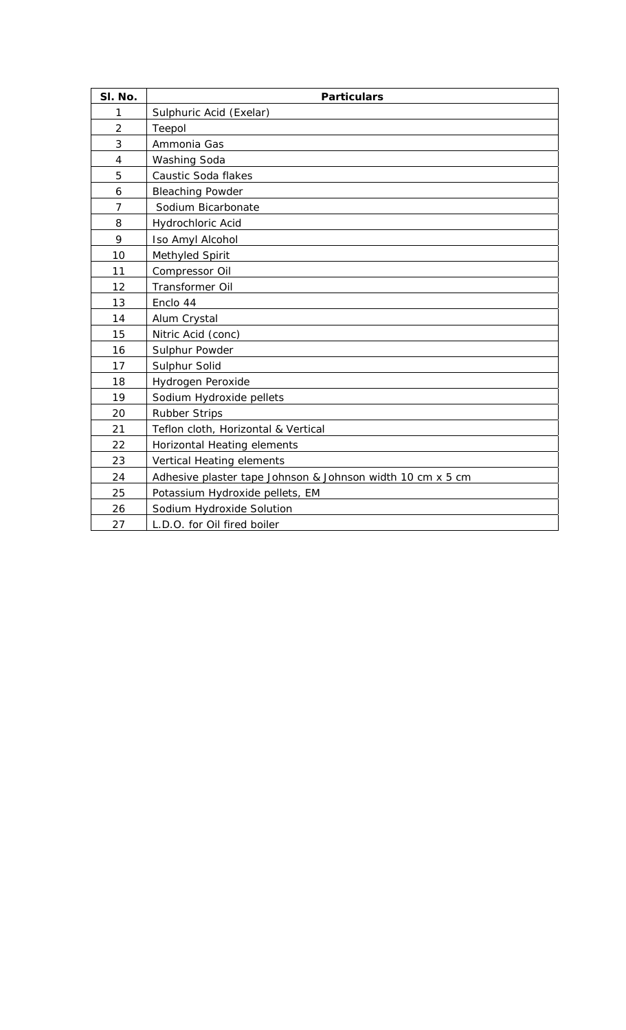| SI. No.        | <b>Particulars</b>                                         |
|----------------|------------------------------------------------------------|
| 1              | Sulphuric Acid (Exelar)                                    |
| $\overline{2}$ | Teepol                                                     |
| 3              | Ammonia Gas                                                |
| 4              | Washing Soda                                               |
| 5              | Caustic Soda flakes                                        |
| 6              | <b>Bleaching Powder</b>                                    |
| $\overline{7}$ | Sodium Bicarbonate                                         |
| 8              | Hydrochloric Acid                                          |
| 9              | Iso Amyl Alcohol                                           |
| 10             | Methyled Spirit                                            |
| 11             | Compressor Oil                                             |
| 12             | Transformer Oil                                            |
| 13             | Enclo 44                                                   |
| 14             | Alum Crystal                                               |
| 15             | Nitric Acid (conc)                                         |
| 16             | Sulphur Powder                                             |
| 17             | Sulphur Solid                                              |
| 18             | Hydrogen Peroxide                                          |
| 19             | Sodium Hydroxide pellets                                   |
| 20             | <b>Rubber Strips</b>                                       |
| 21             | Teflon cloth, Horizontal & Vertical                        |
| 22             | Horizontal Heating elements                                |
| 23             | Vertical Heating elements                                  |
| 24             | Adhesive plaster tape Johnson & Johnson width 10 cm x 5 cm |
| 25             | Potassium Hydroxide pellets, EM                            |
| 26             | Sodium Hydroxide Solution                                  |
| 27             | L.D.O. for Oil fired boiler                                |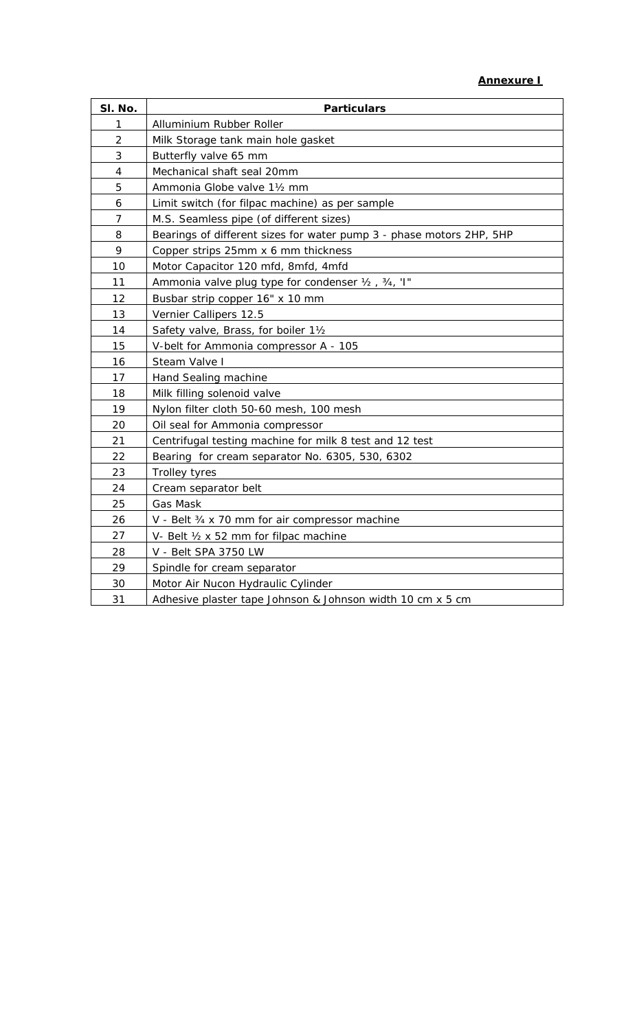| SI. No.        | <b>Particulars</b>                                                   |
|----------------|----------------------------------------------------------------------|
| 1              | Alluminium Rubber Roller                                             |
| $\overline{2}$ | Milk Storage tank main hole gasket                                   |
| 3              | Butterfly valve 65 mm                                                |
| 4              | Mechanical shaft seal 20mm                                           |
| 5              | Ammonia Globe valve 11/2 mm                                          |
| 6              | Limit switch (for filpac machine) as per sample                      |
| $\overline{7}$ | M.S. Seamless pipe (of different sizes)                              |
| 8              | Bearings of different sizes for water pump 3 - phase motors 2HP, 5HP |
| 9              | Copper strips 25mm x 6 mm thickness                                  |
| 10             | Motor Capacitor 120 mfd, 8mfd, 4mfd                                  |
| 11             | Ammonia valve plug type for condenser 1/2, 3/4, 'I"                  |
| 12             | Busbar strip copper 16" x 10 mm                                      |
| 13             | Vernier Callipers 12.5                                               |
| 14             | Safety valve, Brass, for boiler 11/2                                 |
| 15             | V-belt for Ammonia compressor A - 105                                |
| 16             | Steam Valve I                                                        |
| 17             | Hand Sealing machine                                                 |
| 18             | Milk filling solenoid valve                                          |
| 19             | Nylon filter cloth 50-60 mesh, 100 mesh                              |
| 20             | Oil seal for Ammonia compressor                                      |
| 21             | Centrifugal testing machine for milk 8 test and 12 test              |
| 22             | Bearing for cream separator No. 6305, 530, 6302                      |
| 23             | <b>Trolley tyres</b>                                                 |
| 24             | Cream separator belt                                                 |
| 25             | Gas Mask                                                             |
| 26             | V - Belt 3/4 x 70 mm for air compressor machine                      |
| 27             | V- Belt 1/2 x 52 mm for filpac machine                               |
| 28             | V - Belt SPA 3750 LW                                                 |
| 29             | Spindle for cream separator                                          |
| 30             | Motor Air Nucon Hydraulic Cylinder                                   |
| 31             | Adhesive plaster tape Johnson & Johnson width 10 cm x 5 cm           |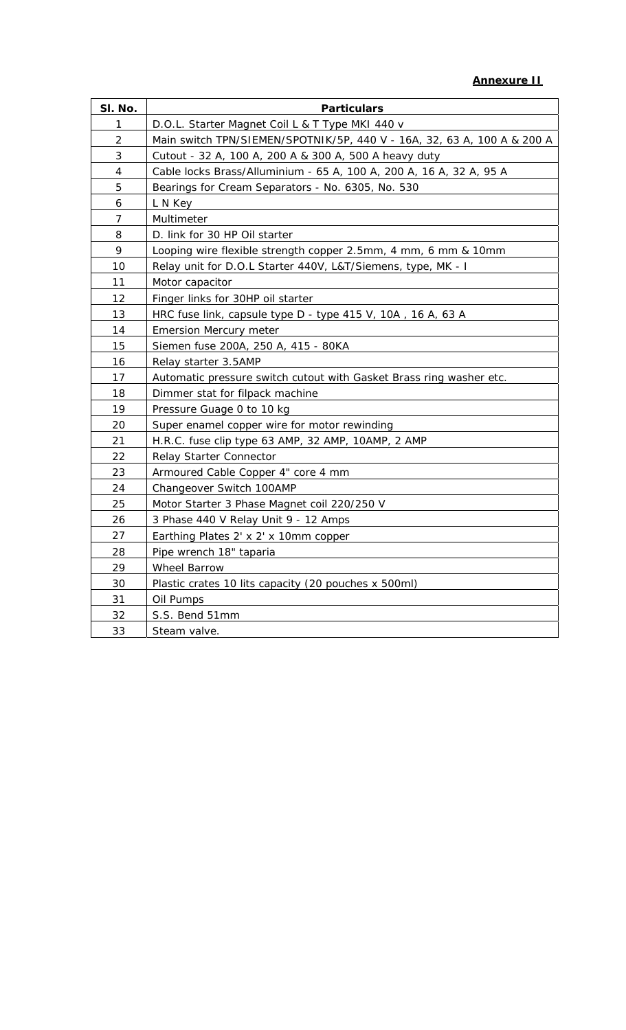| SI. No.        | <b>Particulars</b>                                                      |
|----------------|-------------------------------------------------------------------------|
| 1              | D.O.L. Starter Magnet Coil L & T Type MKI 440 v                         |
| 2              | Main switch TPN/SIEMEN/SPOTNIK/5P, 440 V - 16A, 32, 63 A, 100 A & 200 A |
| 3              | Cutout - 32 A, 100 A, 200 A & 300 A, 500 A heavy duty                   |
| 4              | Cable locks Brass/Alluminium - 65 A, 100 A, 200 A, 16 A, 32 A, 95 A     |
| 5              | Bearings for Cream Separators - No. 6305, No. 530                       |
| 6              | L N Key                                                                 |
| $\overline{7}$ | Multimeter                                                              |
| 8              | D. link for 30 HP Oil starter                                           |
| 9              | Looping wire flexible strength copper 2.5mm, 4 mm, 6 mm & 10mm          |
| 10             | Relay unit for D.O.L Starter 440V, L&T/Siemens, type, MK - I            |
| 11             | Motor capacitor                                                         |
| 12             | Finger links for 30HP oil starter                                       |
| 13             | HRC fuse link, capsule type D - type 415 V, 10A, 16 A, 63 A             |
| 14             | <b>Emersion Mercury meter</b>                                           |
| 15             | Siemen fuse 200A, 250 A, 415 - 80KA                                     |
| 16             | Relay starter 3.5AMP                                                    |
| 17             | Automatic pressure switch cutout with Gasket Brass ring washer etc.     |
| 18             | Dimmer stat for filpack machine                                         |
| 19             | Pressure Guage 0 to 10 kg                                               |
| 20             | Super enamel copper wire for motor rewinding                            |
| 21             | H.R.C. fuse clip type 63 AMP, 32 AMP, 10AMP, 2 AMP                      |
| 22             | Relay Starter Connector                                                 |
| 23             | Armoured Cable Copper 4" core 4 mm                                      |
| 24             | Changeover Switch 100AMP                                                |
| 25             | Motor Starter 3 Phase Magnet coil 220/250 V                             |
| 26             | 3 Phase 440 V Relay Unit 9 - 12 Amps                                    |
| 27             | Earthing Plates 2' x 2' x 10mm copper                                   |
| 28             | Pipe wrench 18" taparia                                                 |
| 29             | Wheel Barrow                                                            |
| 30             | Plastic crates 10 lits capacity (20 pouches x 500ml)                    |
| 31             | Oil Pumps                                                               |
| 32             | S.S. Bend 51mm                                                          |
| 33             | Steam valve.                                                            |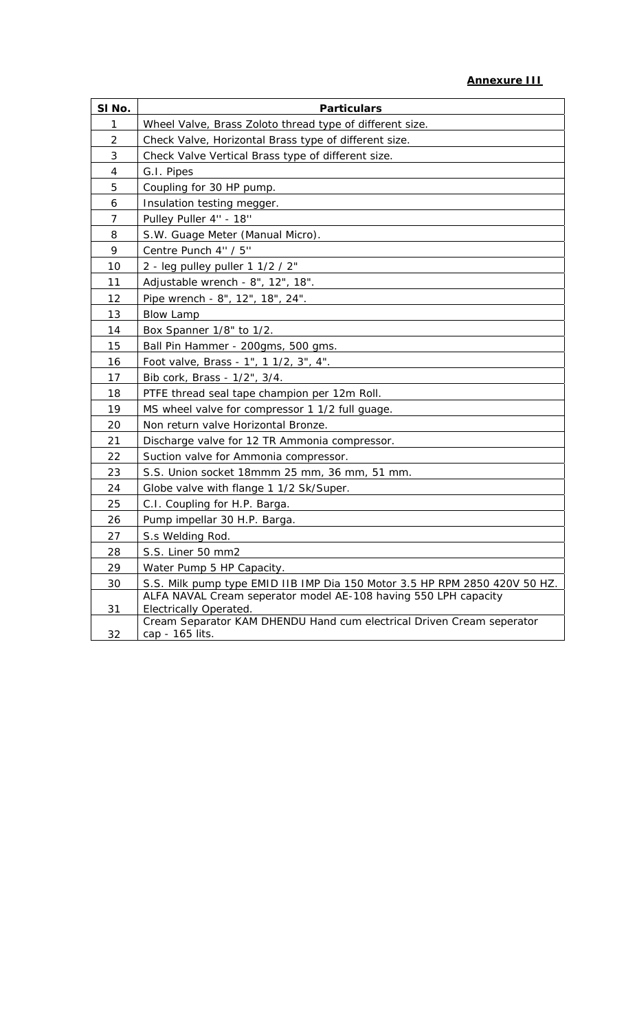| SI No.         | <b>Particulars</b>                                                                              |
|----------------|-------------------------------------------------------------------------------------------------|
| 1              | Wheel Valve, Brass Zoloto thread type of different size.                                        |
| $\overline{2}$ | Check Valve, Horizontal Brass type of different size.                                           |
| 3              | Check Valve Vertical Brass type of different size.                                              |
| 4              | G.I. Pipes                                                                                      |
| 5              | Coupling for 30 HP pump.                                                                        |
| 6              | Insulation testing megger.                                                                      |
| 7              | Pulley Puller 4" - 18"                                                                          |
| 8              | S.W. Guage Meter (Manual Micro).                                                                |
| 9              | Centre Punch 4" / 5"                                                                            |
| 10             | 2 - leg pulley puller 1 1/2 / 2"                                                                |
| 11             | Adjustable wrench - 8", 12", 18".                                                               |
| 12             | Pipe wrench - 8", 12", 18", 24".                                                                |
| 13             | <b>Blow Lamp</b>                                                                                |
| 14             | Box Spanner 1/8" to 1/2.                                                                        |
| 15             | Ball Pin Hammer - 200gms, 500 gms.                                                              |
| 16             | Foot valve, Brass - 1", 1 1/2, 3", 4".                                                          |
| 17             | Bib cork, Brass - 1/2", 3/4.                                                                    |
| 18             | PTFE thread seal tape champion per 12m Roll.                                                    |
| 19             | MS wheel valve for compressor 1 1/2 full guage.                                                 |
| 20             | Non return valve Horizontal Bronze.                                                             |
| 21             | Discharge valve for 12 TR Ammonia compressor.                                                   |
| 22             | Suction valve for Ammonia compressor.                                                           |
| 23             | S.S. Union socket 18mmm 25 mm, 36 mm, 51 mm.                                                    |
| 24             | Globe valve with flange 1 1/2 Sk/Super.                                                         |
| 25             | C.I. Coupling for H.P. Barga.                                                                   |
| 26             | Pump impellar 30 H.P. Barga.                                                                    |
| 27             | S.s Welding Rod.                                                                                |
| 28             | S.S. Liner 50 mm2                                                                               |
| 29             | Water Pump 5 HP Capacity.                                                                       |
| 30             | S.S. Milk pump type EMID IIB IMP Dia 150 Motor 3.5 HP RPM 2850 420V 50 HZ.                      |
|                | ALFA NAVAL Cream seperator model AE-108 having 550 LPH capacity                                 |
| 31             | Electrically Operated.<br>Cream Separator KAM DHENDU Hand cum electrical Driven Cream seperator |
| 32             | cap - 165 lits.                                                                                 |